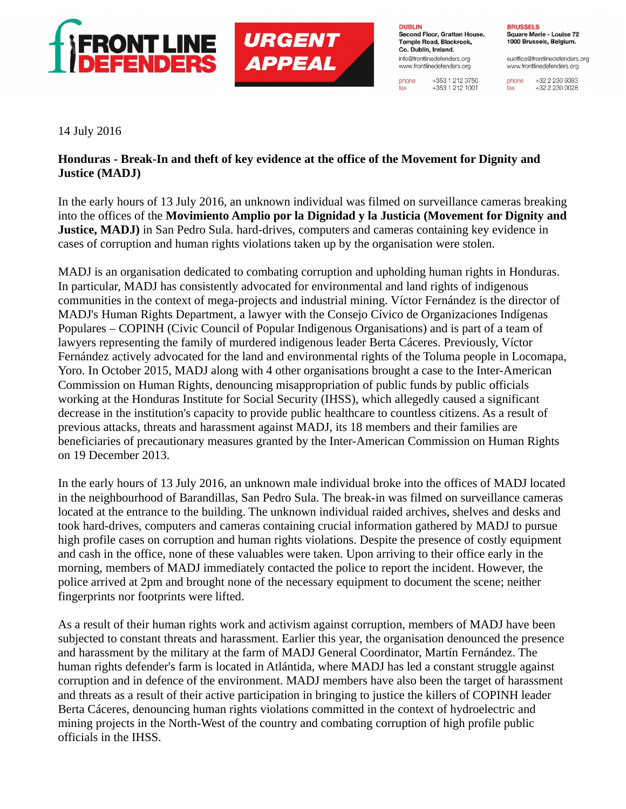

## **URGENT APPEAL**

**DUBLIN** Second Floor, Grattan House, Temple Road, Blackrock. Co. Dublin, Ireland. info@frontlinedefenders.org www.frontlinedefenders.org

+353 1 212 3750 phone  $+353$  1 212 1001 fax

**BRUSSELS** Square Marie - Louise 72 1000 Brussels, Belgium.

euoffice@frontlinedefenders.org www.frontlinedefenders.org

+32 2 230 9383 phone +32 2 230 0028 fax

14 July 2016

## **Honduras - Break-In and theft of key evidence at the office of the Movement for Dignity and Justice (MADJ)**

In the early hours of 13 July 2016, an unknown individual was filmed on surveillance cameras breaking into the offices of the **Movimiento Amplio por la Dignidad y la Justicia (Movement for Dignity and Justice, MADJ)** in San Pedro Sula. hard-drives, computers and cameras containing key evidence in cases of corruption and human rights violations taken up by the organisation were stolen.

MADJ is an organisation dedicated to combating corruption and upholding human rights in Honduras. In particular, MADJ has consistently advocated for environmental and land rights of indigenous communities in the context of mega-projects and industrial mining. Víctor Fernández is the director of MADJ's Human Rights Department, a lawyer with the Consejo Cívico de Organizaciones Indígenas Populares – COPINH (Civic Council of Popular Indigenous Organisations) and is part of a team of lawyers representing the family of murdered indigenous leader Berta Cáceres. Previously, Víctor Fernández actively advocated for the land and environmental rights of the Toluma people in Locomapa, Yoro. In October 2015, MADJ along with 4 other organisations brought a case to the Inter-American Commission on Human Rights, denouncing misappropriation of public funds by public officials working at the Honduras Institute for Social Security (IHSS), which allegedly caused a significant decrease in the institution's capacity to provide public healthcare to countless citizens. As a result of previous attacks, threats and harassment against MADJ, its 18 members and their families are beneficiaries of precautionary measures granted by the Inter-American Commission on Human Rights on 19 December 2013.

In the early hours of 13 July 2016, an unknown male individual broke into the offices of MADJ located in the neighbourhood of Barandillas, San Pedro Sula. The break-in was filmed on surveillance cameras located at the entrance to the building. The unknown individual raided archives, shelves and desks and took hard-drives, computers and cameras containing crucial information gathered by MADJ to pursue high profile cases on corruption and human rights violations. Despite the presence of costly equipment and cash in the office, none of these valuables were taken. Upon arriving to their office early in the morning, members of MADJ immediately contacted the police to report the incident. However, the police arrived at 2pm and brought none of the necessary equipment to document the scene; neither fingerprints nor footprints were lifted.

As a result of their human rights work and activism against corruption, members of MADJ have been subjected to constant threats and harassment. Earlier this year, the organisation denounced the presence and harassment by the military at the farm of MADJ General Coordinator, Martín Fernández. The human rights defender's farm is located in Atlántida, where MADJ has led a constant struggle against corruption and in defence of the environment. MADJ members have also been the target of harassment and threats as a result of their active participation in bringing to justice the killers of COPINH leader Berta Cáceres, denouncing human rights violations committed in the context of hydroelectric and mining projects in the North-West of the country and combating corruption of high profile public officials in the IHSS.